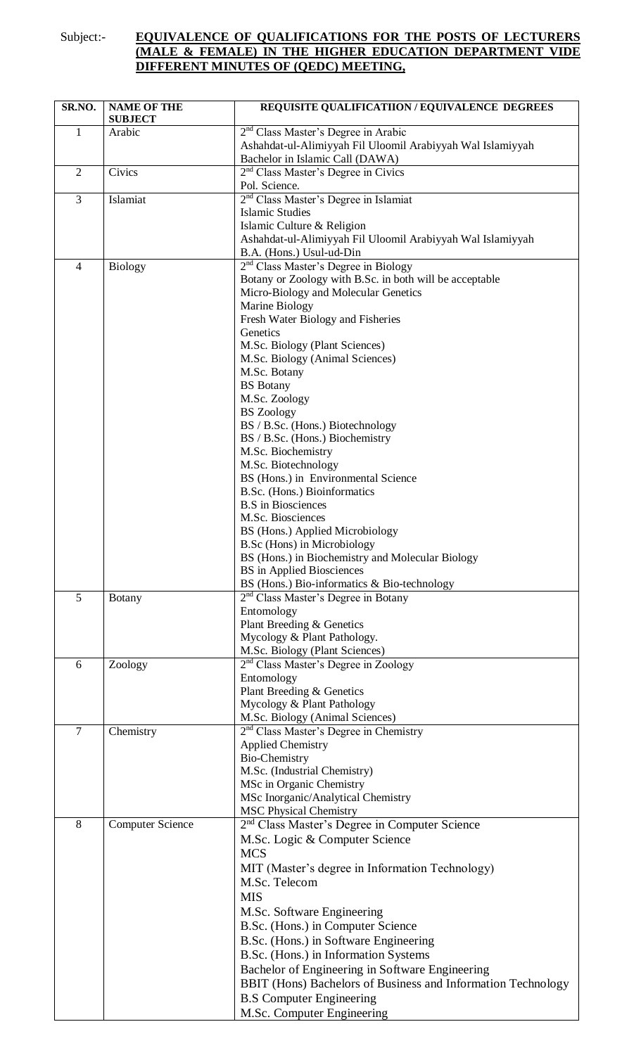## Subject:- **EQUIVALENCE OF QUALIFICATIONS FOR THE POSTS OF LECTURERS (MALE & FEMALE) IN THE HIGHER EDUCATION DEPARTMENT VIDE DIFFERENT MINUTES OF (QEDC) MEETING,**

| SR.NO.         | <b>NAME OF THE</b><br><b>SUBJECT</b> | <b>REQUISITE QUALIFICATIION / EQUIVALENCE DEGREES</b>                                           |
|----------------|--------------------------------------|-------------------------------------------------------------------------------------------------|
| $\mathbf{1}$   | Arabic                               | 2 <sup>nd</sup> Class Master's Degree in Arabic                                                 |
|                |                                      | Ashahdat-ul-Alimiyyah Fil Uloomil Arabiyyah Wal Islamiyyah                                      |
|                |                                      | Bachelor in Islamic Call (DAWA)                                                                 |
| $\overline{2}$ | Civics                               | 2 <sup>nd</sup> Class Master's Degree in Civics<br>Pol. Science.                                |
| 3              | Islamiat                             | 2 <sup>nd</sup> Class Master's Degree in Islamiat                                               |
|                |                                      | <b>Islamic Studies</b>                                                                          |
|                |                                      | Islamic Culture & Religion                                                                      |
|                |                                      | Ashahdat-ul-Alimiyyah Fil Uloomil Arabiyyah Wal Islamiyyah                                      |
|                |                                      | B.A. (Hons.) Usul-ud-Din                                                                        |
| $\overline{4}$ | <b>Biology</b>                       | 2 <sup>nd</sup> Class Master's Degree in Biology                                                |
|                |                                      | Botany or Zoology with B.Sc. in both will be acceptable<br>Micro-Biology and Molecular Genetics |
|                |                                      | Marine Biology                                                                                  |
|                |                                      | Fresh Water Biology and Fisheries                                                               |
|                |                                      | Genetics                                                                                        |
|                |                                      | M.Sc. Biology (Plant Sciences)                                                                  |
|                |                                      | M.Sc. Biology (Animal Sciences)                                                                 |
|                |                                      | M.Sc. Botany                                                                                    |
|                |                                      | <b>BS</b> Botany                                                                                |
|                |                                      | M.Sc. Zoology<br><b>BS</b> Zoology                                                              |
|                |                                      | BS / B.Sc. (Hons.) Biotechnology                                                                |
|                |                                      | BS / B.Sc. (Hons.) Biochemistry                                                                 |
|                |                                      | M.Sc. Biochemistry                                                                              |
|                |                                      | M.Sc. Biotechnology                                                                             |
|                |                                      | BS (Hons.) in Environmental Science                                                             |
|                |                                      | B.Sc. (Hons.) Bioinformatics                                                                    |
|                |                                      | <b>B.S</b> in Biosciences<br>M.Sc. Biosciences                                                  |
|                |                                      | BS (Hons.) Applied Microbiology                                                                 |
|                |                                      | B.Sc (Hons) in Microbiology                                                                     |
|                |                                      | BS (Hons.) in Biochemistry and Molecular Biology                                                |
|                |                                      | BS in Applied Biosciences                                                                       |
|                |                                      | BS (Hons.) Bio-informatics & Bio-technology                                                     |
| 5              | <b>Botany</b>                        | 2 <sup>nd</sup> Class Master's Degree in Botany                                                 |
|                |                                      | Entomology<br>Plant Breeding & Genetics                                                         |
|                |                                      | Mycology & Plant Pathology.                                                                     |
|                |                                      | M.Sc. Biology (Plant Sciences)                                                                  |
| 6              | Zoology                              | 2 <sup>nd</sup> Class Master's Degree in Zoology                                                |
|                |                                      | Entomology                                                                                      |
|                |                                      | Plant Breeding & Genetics                                                                       |
|                |                                      | Mycology & Plant Pathology                                                                      |
| $\overline{7}$ | Chemistry                            | M.Sc. Biology (Animal Sciences)<br>2 <sup>nd</sup> Class Master's Degree in Chemistry           |
|                |                                      | <b>Applied Chemistry</b>                                                                        |
|                |                                      | <b>Bio-Chemistry</b>                                                                            |
|                |                                      | M.Sc. (Industrial Chemistry)                                                                    |
|                |                                      | MSc in Organic Chemistry                                                                        |
|                |                                      | MSc Inorganic/Analytical Chemistry                                                              |
|                |                                      | <b>MSC Physical Chemistry</b>                                                                   |
| 8              | <b>Computer Science</b>              | 2 <sup>nd</sup> Class Master's Degree in Computer Science                                       |
|                |                                      | M.Sc. Logic & Computer Science<br><b>MCS</b>                                                    |
|                |                                      | MIT (Master's degree in Information Technology)                                                 |
|                |                                      | M.Sc. Telecom                                                                                   |
|                |                                      | <b>MIS</b>                                                                                      |
|                |                                      | M.Sc. Software Engineering                                                                      |
|                |                                      | B.Sc. (Hons.) in Computer Science                                                               |
|                |                                      | B.Sc. (Hons.) in Software Engineering                                                           |
|                |                                      | B.Sc. (Hons.) in Information Systems                                                            |
|                |                                      | Bachelor of Engineering in Software Engineering                                                 |
|                |                                      | BBIT (Hons) Bachelors of Business and Information Technology                                    |
|                |                                      | <b>B.S</b> Computer Engineering                                                                 |
|                |                                      | M.Sc. Computer Engineering                                                                      |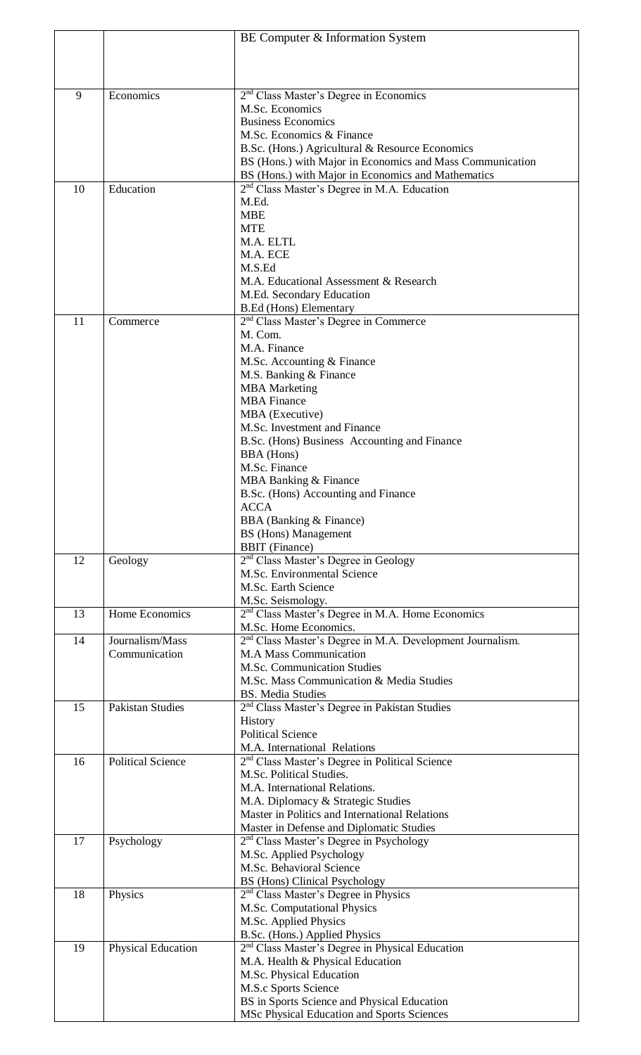|    |                          | BE Computer & Information System                                                                              |
|----|--------------------------|---------------------------------------------------------------------------------------------------------------|
|    |                          |                                                                                                               |
|    |                          |                                                                                                               |
| 9  | Economics                |                                                                                                               |
|    |                          | 2 <sup>nd</sup> Class Master's Degree in Economics<br>M.Sc. Economics                                         |
|    |                          | <b>Business Economics</b>                                                                                     |
|    |                          | M.Sc. Economics & Finance                                                                                     |
|    |                          | B.Sc. (Hons.) Agricultural & Resource Economics                                                               |
|    |                          | BS (Hons.) with Major in Economics and Mass Communication                                                     |
| 10 | Education                | BS (Hons.) with Major in Economics and Mathematics<br>2 <sup>nd</sup> Class Master's Degree in M.A. Education |
|    |                          | M.Ed.                                                                                                         |
|    |                          | <b>MBE</b>                                                                                                    |
|    |                          | <b>MTE</b>                                                                                                    |
|    |                          | M.A. ELTL                                                                                                     |
|    |                          | M.A. ECE<br>M.S.Ed                                                                                            |
|    |                          | M.A. Educational Assessment & Research                                                                        |
|    |                          | M.Ed. Secondary Education                                                                                     |
|    |                          | <b>B.Ed (Hons) Elementary</b>                                                                                 |
| 11 | Commerce                 | 2 <sup>nd</sup> Class Master's Degree in Commerce                                                             |
|    |                          | M. Com.                                                                                                       |
|    |                          | M.A. Finance<br>M.Sc. Accounting & Finance                                                                    |
|    |                          | M.S. Banking & Finance                                                                                        |
|    |                          | <b>MBA</b> Marketing                                                                                          |
|    |                          | <b>MBA</b> Finance                                                                                            |
|    |                          | MBA (Executive)                                                                                               |
|    |                          | M.Sc. Investment and Finance<br>B.Sc. (Hons) Business Accounting and Finance                                  |
|    |                          | <b>BBA</b> (Hons)                                                                                             |
|    |                          | M.Sc. Finance                                                                                                 |
|    |                          | MBA Banking & Finance                                                                                         |
|    |                          | B.Sc. (Hons) Accounting and Finance                                                                           |
|    |                          | <b>ACCA</b>                                                                                                   |
|    |                          | BBA (Banking & Finance)<br><b>BS</b> (Hons) Management                                                        |
|    |                          | <b>BBIT</b> (Finance)                                                                                         |
| 12 | Geology                  | 2 <sup>nd</sup> Class Master's Degree in Geology                                                              |
|    |                          | M.Sc. Environmental Science                                                                                   |
|    |                          | M.Sc. Earth Science                                                                                           |
| 13 | Home Economics           | M.Sc. Seismology.<br>2 <sup>nd</sup> Class Master's Degree in M.A. Home Economics                             |
|    |                          | M.Sc. Home Economics.                                                                                         |
| 14 | Journalism/Mass          | 2 <sup>nd</sup> Class Master's Degree in M.A. Development Journalism.                                         |
|    | Communication            | <b>M.A Mass Communication</b>                                                                                 |
|    |                          | M.Sc. Communication Studies                                                                                   |
|    |                          | M.Sc. Mass Communication & Media Studies                                                                      |
| 15 | <b>Pakistan Studies</b>  | <b>BS.</b> Media Studies<br>2 <sup>nd</sup> Class Master's Degree in Pakistan Studies                         |
|    |                          | History                                                                                                       |
|    |                          | <b>Political Science</b>                                                                                      |
|    |                          | M.A. International Relations                                                                                  |
| 16 | <b>Political Science</b> | 2 <sup>nd</sup> Class Master's Degree in Political Science                                                    |
|    |                          | M.Sc. Political Studies.<br>M.A. International Relations.                                                     |
|    |                          | M.A. Diplomacy & Strategic Studies                                                                            |
|    |                          | Master in Politics and International Relations                                                                |
|    |                          | Master in Defense and Diplomatic Studies                                                                      |
| 17 | Psychology               | 2 <sup>nd</sup> Class Master's Degree in Psychology                                                           |
|    |                          | M.Sc. Applied Psychology                                                                                      |
|    |                          | M.Sc. Behavioral Science<br><b>BS</b> (Hons) Clinical Psychology                                              |
| 18 | Physics                  | 2 <sup>nd</sup> Class Master's Degree in Physics                                                              |
|    |                          | M.Sc. Computational Physics                                                                                   |
|    |                          | M.Sc. Applied Physics                                                                                         |
|    |                          | B.Sc. (Hons.) Applied Physics                                                                                 |
| 19 | Physical Education       | 2 <sup>nd</sup> Class Master's Degree in Physical Education                                                   |
|    |                          | M.A. Health & Physical Education<br>M.Sc. Physical Education                                                  |
|    |                          | M.S.c Sports Science                                                                                          |
|    |                          | BS in Sports Science and Physical Education                                                                   |
|    |                          | MSc Physical Education and Sports Sciences                                                                    |